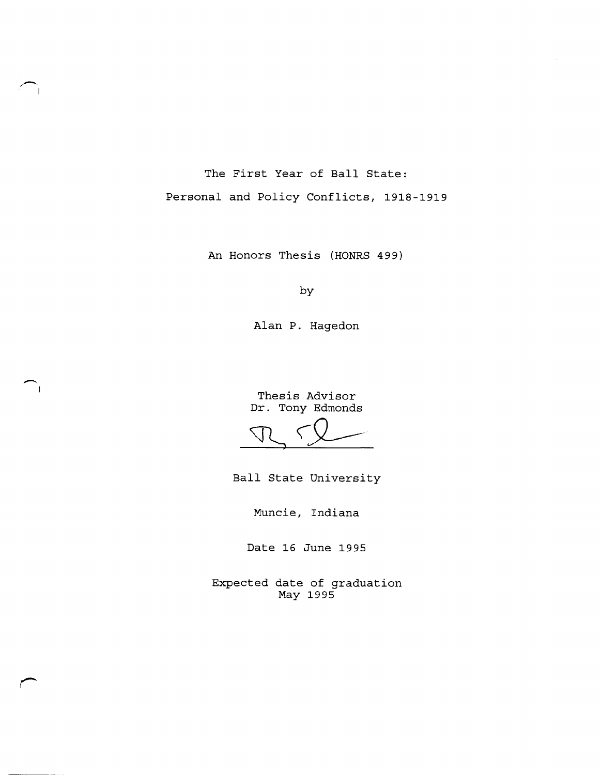The First Year of Ball State: Personal and Policy Conflicts, 1918-1919

,- I

--

An Honors Thesis (HONRS 499)

by

Alan P. Hagedon

Thesis Advisor Dr. Tony Edmonds

 $\n T \n V$ 

Ball State University

Muncie, Indiana

Date 16 June 1995

Expected date of graduation May 1995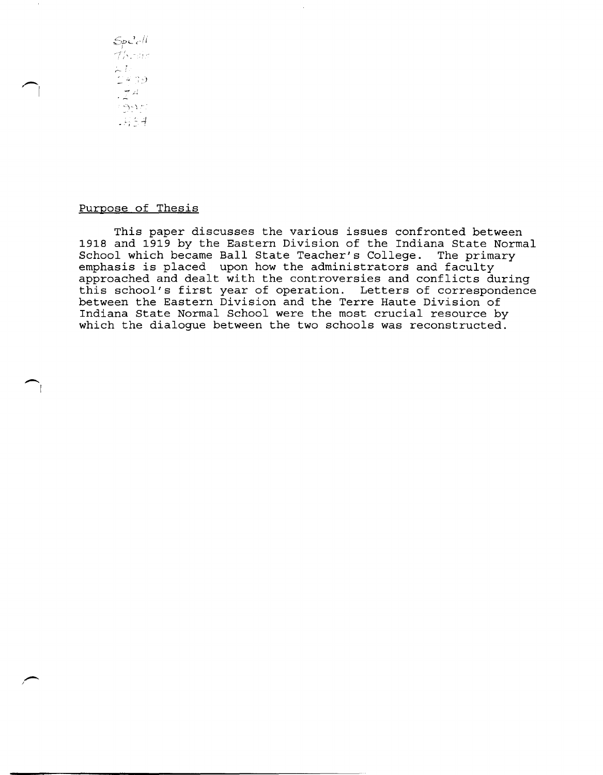$SpCc$  $\tau$ hrsis  $\zeta^L_{\rm s, 0}$  $\frac{1}{2}$  $-995$  $-45.4$ 

 $\bigcap$ 

 $\overline{\phantom{a}}$ 

# Purpose of Thesis

This paper discusses the various issues confronted between 1918 and 1919 by the Eastern Division of the Indiana State Normal School which became Ball State Teacher's College. The primary emphasis is placed upon how the administrators and faculty approached and dealt with the controversies and conflicts during this school's first year of operation. Letters of correspondence between the Eastern Division and the Terre Haute Division of Indiana State Normal School were the most crucial resource by which the dialogue between the two schools was reconstructed.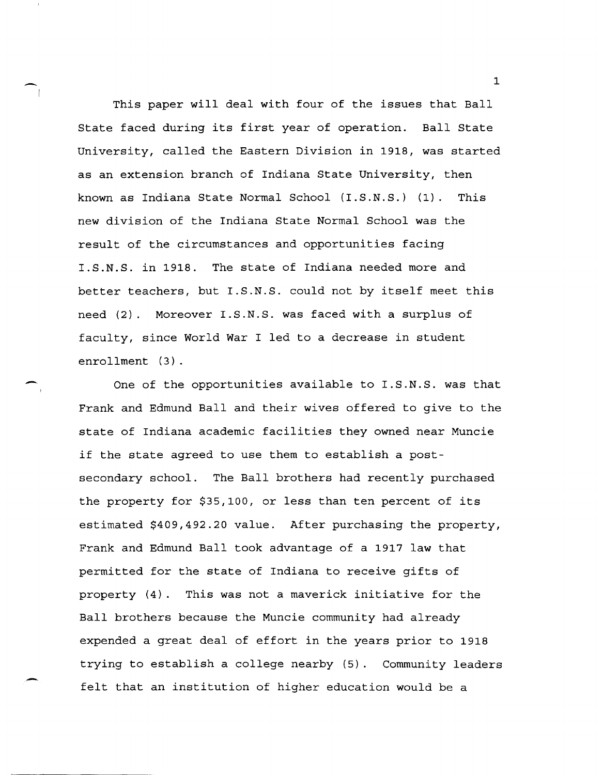This paper will deal with four of the issues that Ball State faced during its first year of operation. Ball State University, called the Eastern Division in 1918, was started as an extension branch of Indiana State University, then known as Indiana State Normal School (I.S.N.S.) (1). This new division of the Indiana State Normal School was the result of the circumstances and opportunities facing I.S.N.S. in 1918. The state of Indiana needed more and better teachers, but I.S.N.S. could not by itself meet this need (2). Moreover I.S.N.S. was faced with a surplus of faculty, since World War I led to a decrease in student enrollment (3).

-

-

One of the opportunities available to I.S.N.S. was that Frank and Edmund Ball and their wives offered to give to the state of Indiana academic facilities they owned near Muncie if the state agreed to use them to establish a postsecondary school. The Ball brothers had recently purchased the property for \$35,100, or less than ten percent of its estimated \$409,492.20 value. After purchasing the property, Frank and Edmund Ball took advantage of a 1917 law that permitted for the state of Indiana to receive gifts of property (4). This was not a maverick initiative for the Ball brothers because the Muncie community had already expended a great deal of effort in the years prior to 1918 trying to establish a college nearby (5). Community leaders felt that an institution of higher education would be a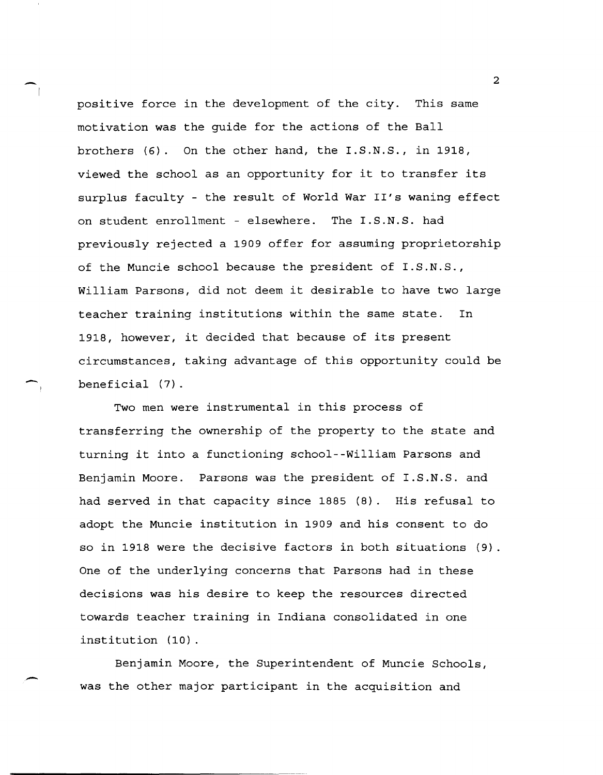positive force in the development of the city. This same motivation was the guide for the actions of the Ball brothers (6). On the other hand, the I.S.N.S., in 1918, viewed the school as an opportunity for it to transfer its surplus faculty - the result of World War II's waning effect on student enrollment - elsewhere. The I.S.N.S. had previously rejected a 1909 offer for assuming proprietorship of the Muncie school because the president of I.S.N.S., William Parsons, did not deem it desirable to have two large teacher training institutions within the same state. In 1918, however, it decided that because of its present circumstances, taking advantage of this opportunity could be beneficial (7).

Two men were instrumental in this process of transferring the ownership of the property to the state and turning it into a functioning school--William Parsons and Benjamin Moore. Parsons was the president of I.S.N.S. and had served in that capacity since 1885 (8). His refusal to adopt the Muncie institution in 1909 and his consent to do so in 1918 were the decisive factors in both situations (9). One of the underlying concerns that Parsons had in these decisions was his desire to keep the resources directed towards teacher training in Indiana consolidated in one institution (10).

Benjamin Moore, the Superintendent of Muncie Schools, was the other major participant in the acquisition and

 $\overline{2}$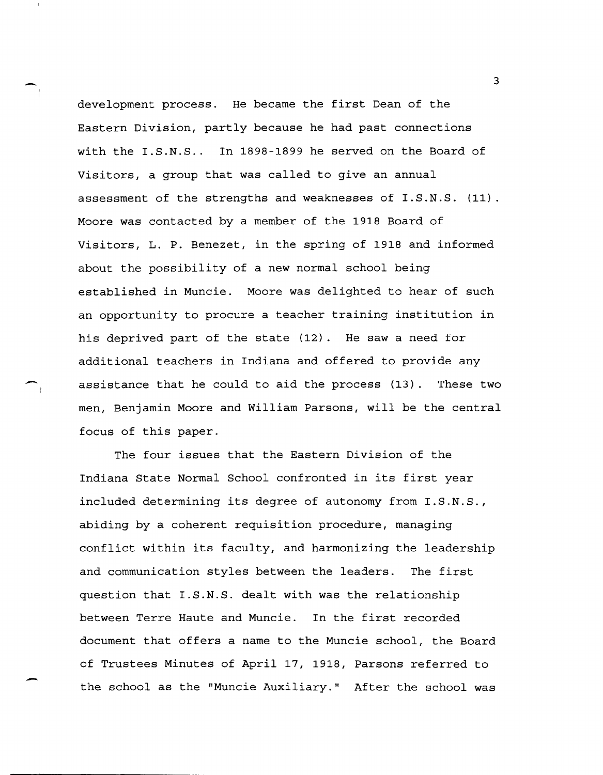development process. He became the first Dean of the Eastern Division, partly because he had past connections with the I.S.N.S.. In 1898-1899 he served on the Board of Visitors, a group that was called to give an annual assessment of the strengths and weaknesses of I.S.N.S. (11). Moore was contacted by a member of the 1918 Board of Visitors, L. P. Benezet, in the spring of 1918 and informed about the possibility of a new normal school being established in Muncie. Moore was delighted to hear of such an opportunity to procure a teacher training institution in his deprived part of the state (12). He saw a need for additional teachers in Indiana and offered to provide any assistance that he could to aid the process (13). These two men, Benjamin Moore and William Parsons, will be the central focus of this paper.

The four issues that the Eastern Division of the Indiana State Normal School confronted in its first year included determining its degree of autonomy from I.S.N.S., abiding by a coherent requisition procedure, managing conflict within its faculty, and harmonizing the leadership and communication styles between the leaders. The first question that I.S.N.S. dealt with was the relationship between Terre Haute and Muncie. In the first recorded document that offers a name to the Muncie school, the Board of Trustees Minutes of April 17, 1918, Parsons referred to the school as the "Muncie Auxiliary." After the school was

.-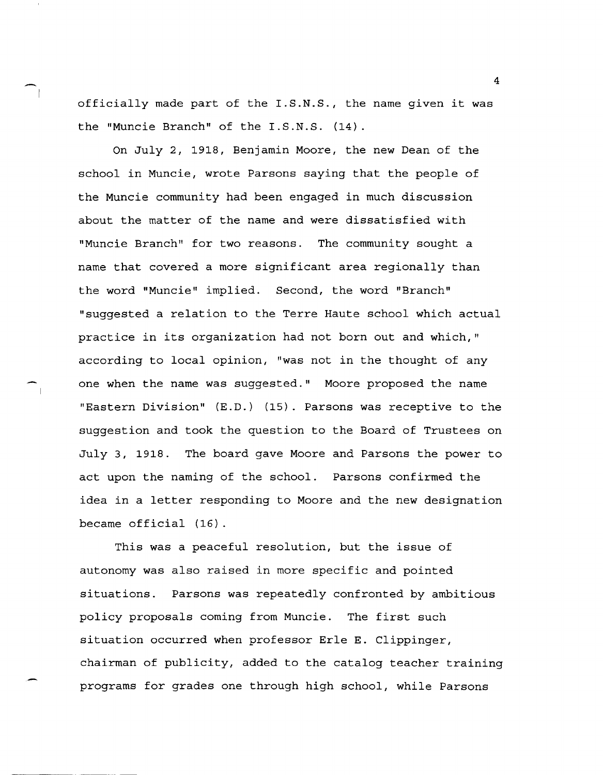officially made part of the I.S.N.S., the name given it was the "Muncie Branch" of the I.S.N.S. (14).

On July 2, 1918, Benjamin Moore, the new Dean of the school in Muncie, wrote Parsons saying that the people of the Muncie community had been engaged in much discussion about the matter of the name and were dissatisfied with "Muncie Branch" for two reasons. The community sought a name that covered a more significant area regionally than the word "Muncie" implied. Second, the word "Branch" "suggested a relation to the Terre Haute school which actual practice in its organization had not born out and which," according to local opinion, "was not in the thought of any one when the name was suggested." Moore proposed the name "Eastern Division" (E.D.) (15). Parsons was receptive to the suggestion and took the question to the Board of Trustees on July 3, 1918. The board gave Moore and Parsons the power to act upon the naming of the school. Parsons confirmed the idea in a letter responding to Moore and the new designation became official (16).

This was a peaceful resolution, but the issue of autonomy was also raised in more specific and pointed situations. Parsons was repeatedly confronted by ambitious policy proposals coming from Muncie. The first such situation occurred when professor ErIe E. Clippinger, chairman of publicity, added to the catalog teacher training programs for grades one through high school, while Parsons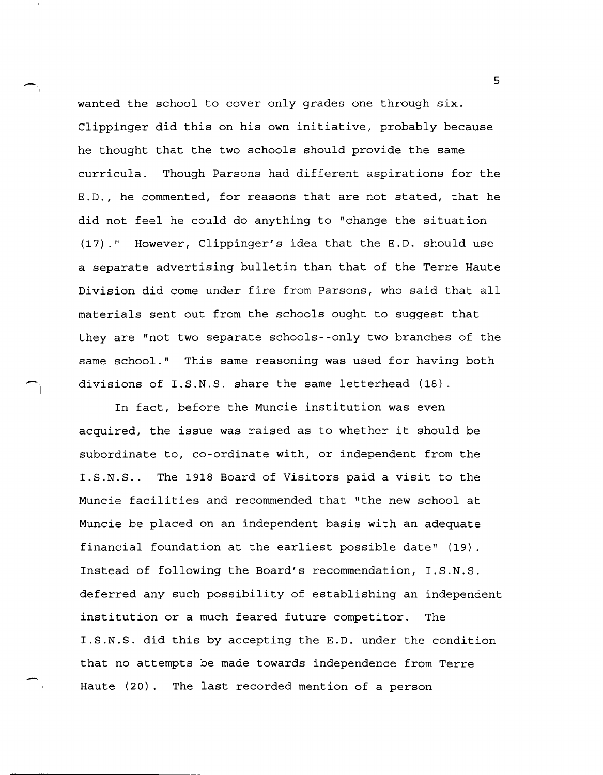wanted the school to cover only grades one through six. Clippinger did this on his own initiative, probably because he thought that the two schools should provide the same curricula. Though Parsons had different aspirations for the E.D., he commented, for reasons that are not stated, that he did not feel he could do anything to "change the situation (17)." However, Clippinger's idea that the E.D. should use a separate advertising bulletin than that of the Terre Haute Division did come under fire from Parsons, who said that all materials sent out from the schools ought to suggest that they are "not two separate schools--only two branches of the same school." This same reasoning was used for having both divisions of I.S.N.S. share the same letterhead (18).

---- I

~

In fact, before the Muncie institution was even acquired, the issue was raised as to whether it should be subordinate to, co-ordinate with, or independent from the I.S.N.S.. The 1918 Board of Visitors paid a visit to the Muncie facilities and recommended that "the new school at Muncie be placed on an independent basis with an adequate financial foundation at the earliest possible date" (19). Instead of following the Board's recommendation, I.S.N.S. deferred any such possibility of establishing an independent institution or a much feared future competitor. The I.S.N.S. did this by accepting the E.D. under the condition that no attempts be made towards independence from Terre Haute (20). The last recorded mention of a person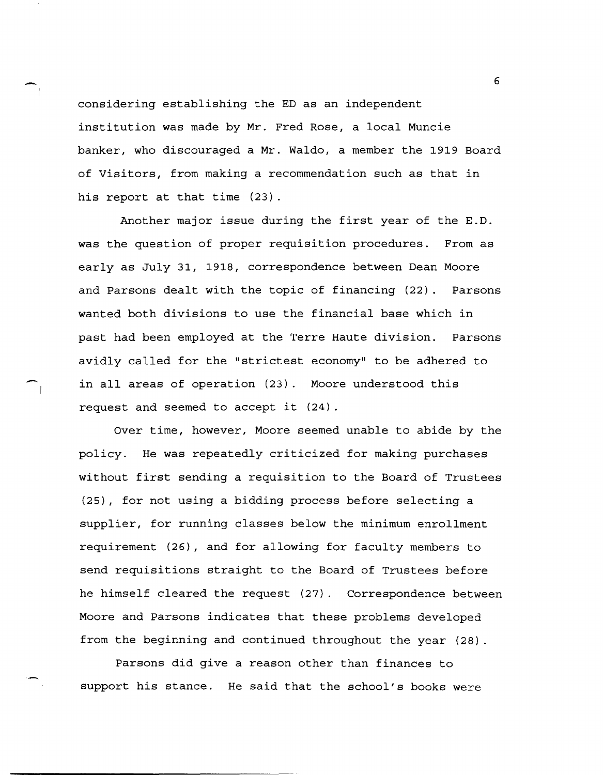considering establishing the ED as an independent institution was made by Mr. Fred Rose, a local Muncie banker, who discouraged a Mr. Waldo, a member the 1919 Board of Visitors, from making a recommendation such as that in his report at that time (23).

Another major issue during the first year of the E.D. was the question of proper requisition procedures. From as early as July 31, 1918, correspondence between Dean Moore and Parsons dealt with the topic of financing (22). Parsons wanted both divisions to use the financial base which in past had been employed at the Terre Haute division. Parsons avidly called for the "strictest economy" to be adhered to in all areas of operation (23). Moore understood this request and seemed to accept it (24).

Over time, however, Moore seemed unable to abide by the policy. He was repeatedly criticized for making purchases without first sending a requisition to the Board of Trustees (25), for not using a bidding process before selecting a supplier, for running classes below the minimum enrollment requirement (26), and for allowing for faculty members to send requisitions straight to the Board of Trustees before he himself cleared the request (27). Correspondence between Moore and Parsons indicates that these problems developed from the beginning and continued throughout the year (28).

Parsons did give a reason other than finances to support his stance. He said that the school's books were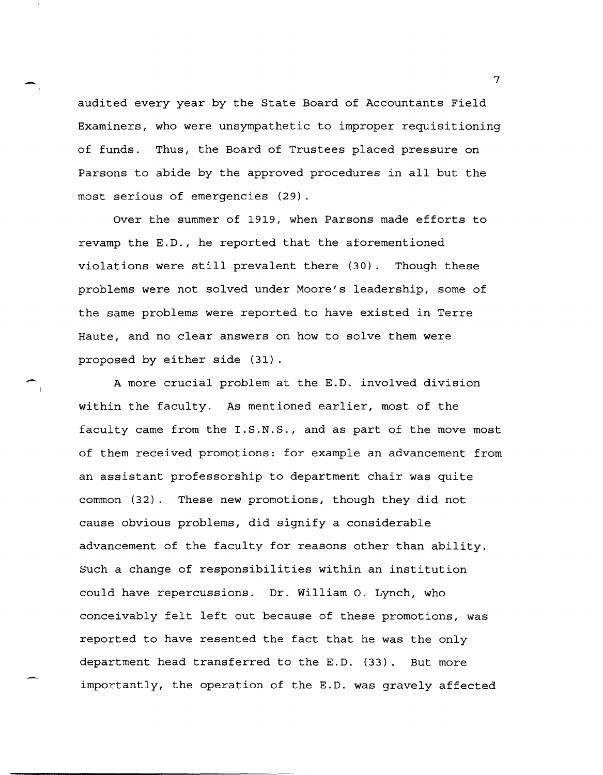audited every year by the State Board of Accountants Field Examiners, who were unsympathetic to improper requisitioning of funds. Thus, the Board of Trustees placed pressure on Parsons to abide by the approved procedures in all but the most serious of emergencies (29).

Over the summer of 1919, when Parsons made efforts to revamp the E.D., he reported that the aforementioned violations were still prevalent there (30). Though these problems were not solved under Moore's leadership, some of the same problems were reported to have existed in Terre Haute, and no clear answers on how to solve them were proposed by either side (31).

 $\sim$ 

A more crucial problem at the E.D. involved division within the faculty. As mentioned earlier, most of the faculty came from the I.S.N.S., and as part of the move most of them received promotions: for example an advancement from an assistant professorship to department chair was quite common (32). These new promotions, though they did not cause obvious problems, did signify a considerable advancement of the faculty for reasons other than ability. Such a change of responsibilities within an institution could have repercussions. Dr. William o. Lynch, who conceivably felt left out because of these promotions, was reported to have resented the fact that he was the only department head transferred to the E.D. (33). But more importantly, the operation of the E.D. was gravely affected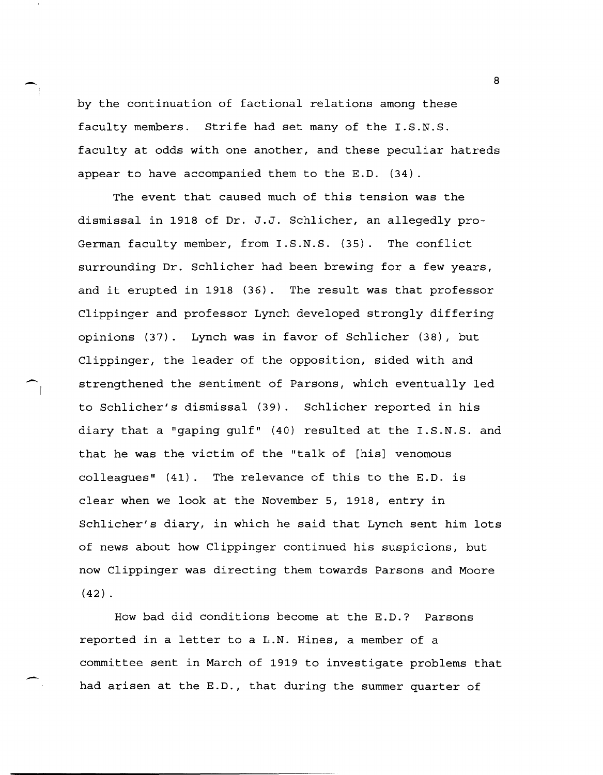by the continuation of factional relations among these faculty members. Strife had set many of the I.S.N.S. faculty at odds with one another, and these peculiar hatreds appear to have accompanied them to the E.D. (34).

The event that caused much of this tension was the dismissal in 1918 of Dr. J.J. Schlicher, an allegedly pro-German faculty member, from I.S.N.S. (35). The conflict surrounding Dr. schlicher had been brewing for a few years, and it erupted in 1918 (36). The result was that professor Clippinger and professor Lynch developed strongly differing opinions (37). Lynch was in favor of Schlicher (38), but Clippinger, the leader of the opposition, sided with and strengthened the sentiment of Parsons, which eventually led to Schlicher's dismissal (39). Schlicher reported in his diary that a "gaping gulf" (40) resulted at the  $I.S.N.S.$  and that he was the victim of the "talk of [his] venomous colleagues"  $(41)$ . The relevance of this to the E.D. is clear when we look at the November 5, 1918, entry in Schlicher's diary, in which he said that Lynch sent him lots of news about how Clippinger continued his suspicions, but now Clippinger was directing them towards Parsons and Moore  $(42)$ .

How bad did conditions become at the E.D.? Parsons reported in a letter to a L.N. Hines, a member of a committee sent in March of 1919 to investigate problems that had arisen at the E.D., that during the summer quarter of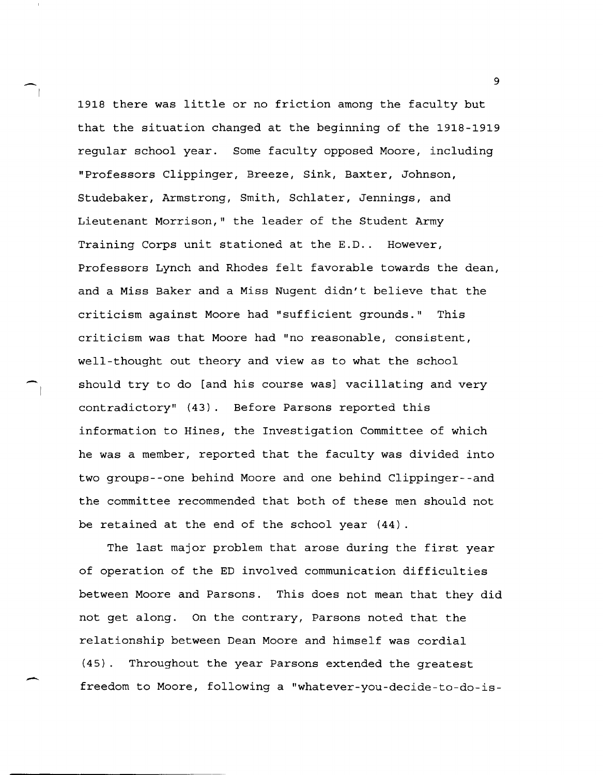1918 there was little or no friction among the faculty but that the situation changed at the beginning of the 1918-1919 regular school year. Some faculty opposed Moore, including "Professors Clippinger, Breeze, Sink, Baxter, Johnson, Studebaker, Armstrong, Smith, Schlater, Jennings, and Lieutenant Morrison," the leader of the Student Army Training Corps unit stationed at the E.D.. However, Professors Lynch and Rhodes felt favorable towards the dean, and a Miss Baker and a Miss Nugent didn't believe that the criticism against Moore had "sufficient grounds." This criticism was that Moore had "no reasonable, consistent, well-thought out theory and view as to what the school should try to do [and his course was] vacillating and very contradictory" (43). Before Parsons reported this information to Hines, the Investigation Committee of which he was a member, reported that the faculty was divided into two groups--one behind Moore and one behind Clippinger--and the committee recommended that both of these men should not be retained at the end of the school year (44).

The last major problem that arose during the first year of operation of the ED involved communication difficulties between Moore and Parsons. This does not mean that they did not get along. On the contrary, Parsons noted that the relationship between Dean Moore and himself was cordial (45). Throughout the year Parsons extended the greatest freedom to Moore, following a "whatever-you-decide-to-do-is-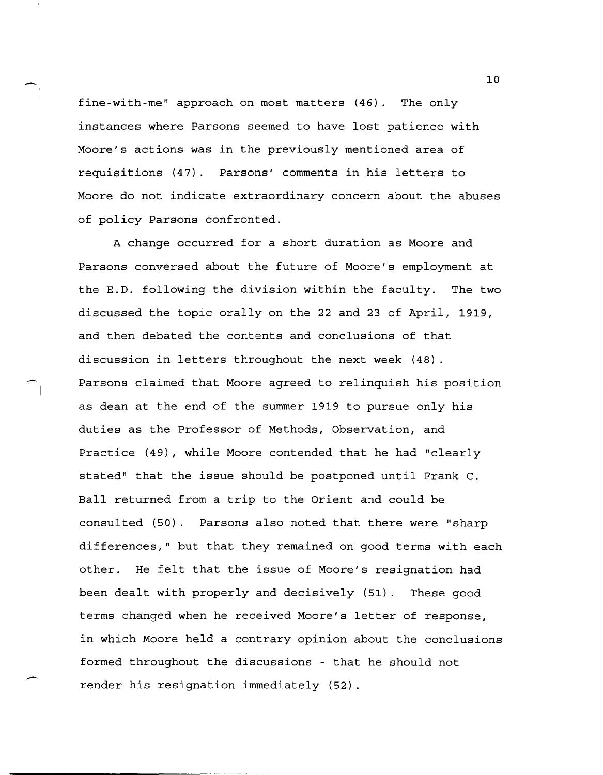fine-with-me" approach on most matters (46). The only instances where Parsons seemed to have lost patience with Moore's actions was in the previously mentioned area of requisitions (47). Parsons' comments in his letters to Moore do not indicate extraordinary concern about the abuses of policy Parsons confronted.

A change occurred for a short duration as Moore and Parsons conversed about the future of Moore's employment at the E.D. following the division within the faculty. The two discussed the topic orally on the 22 and 23 of April, 1919, and then debated the contents and conclusions of that discussion in letters throughout the next week (48). Parsons claimed that Moore agreed to relinquish his position as dean at the end of the summer 1919 to pursue only his duties as the Professor of Methods, Observation, and Practice (49), while Moore contended that he had "clearly stated" that the issue should be postponed until Frank c. Ball returned from a trip to the Orient and could be consulted (50). Parsons also noted that there were "sharp differences," but that they remained on good terms with each other. He felt that the issue of Moore's resignation had been dealt with properly and decisively (51). These good terms changed when he received Moore's letter of response, in which Moore held a contrary opinion about the conclusions formed throughout the discussions - that he should not render his resignation immediately (52).

 $\blacksquare$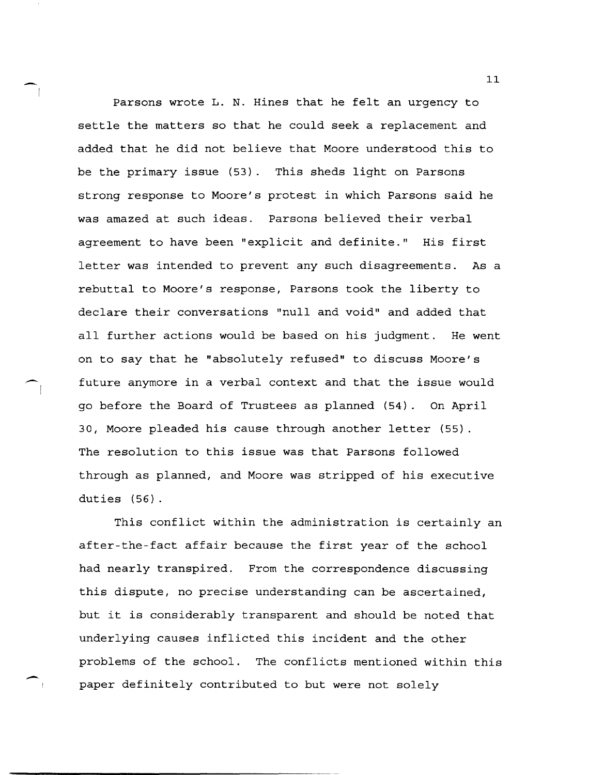$\bigcap$ Parsons wrote L. N. Hines that he felt an urgency to settle the matters so that he could seek a replacement and added that he did not believe that Moore understood this to be the primary issue (53). This sheds light on Parsons strong response to Moore's protest in which Parsons said he was amazed at such ideas. Parsons believed their verbal agreement to have been "explicit and definite." His first letter was intended to prevent any such disagreements. As a rebuttal to Moore's response, Parsons took the liberty to declare their conversations "null and void" and added that all further actions would be based on his judgment. He went on to say that he "absolutely refused" to discuss Moore's future anymore in a verbal context and that the issue would go before the Board of Trustees as planned (54). On April 30, Moore pleaded his cause through another letter (55) The resolution to this issue was that Parsons followed through as planned, and Moore was stripped of his executive duties (56).

> This conflict within the administration is certainly an after-the-fact affair because the first year of the school had nearly transpired. From the correspondence discussing this dispute, no precise understanding can be ascertained, but it is considerably transparent and should be noted that underlying causes inflicted this incident and the other problems of the school. The conflicts mentioned within this paper definitely contributed to but were not solely

-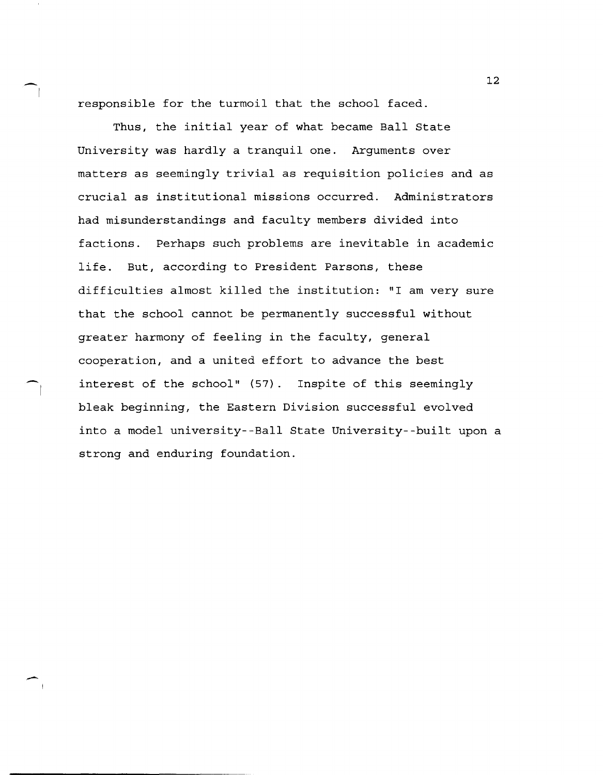responsible for the turmoil that the school faced.

Thus, the initial year of what became Ball State University was hardly a tranquil one. Arguments over matters as seemingly trivial as requisition policies and as crucial as institutional missions occurred. Administrators had misunderstandings and faculty members divided into factions. Perhaps such problems are inevitable in academic life. But, according to President Parsons, these difficulties almost killed the institution: "I am very sure that the school cannot be permanently successful without greater harmony of feeling in the faculty, general cooperation, and a united effort to advance the best interest of the school" (57). 1nspite of this seemingly bleak beginning, the Eastern Division successful evolved into a model university--Ball State University--built upon a strong and enduring foundation.

 $-1$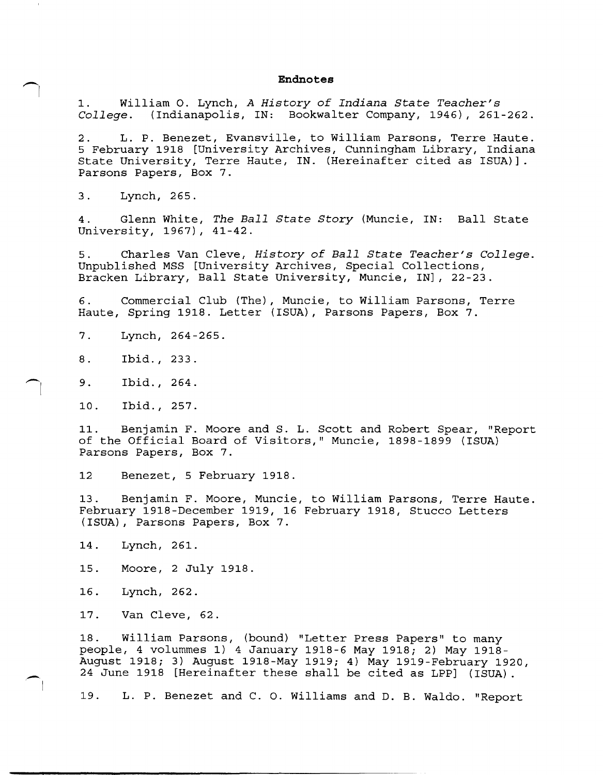#### **Endnotes**

1. William o. Lynch, *A History* of *Indiana State Teacher's College.* (Indianapolis, IN: Bookwalter Company, 1946), 261-262.

2. L. P. Benezet, Evansville, to William Parsons, Terre Haute. 5 February 1918 [University Archives, Cunningham Library, Indiana State University, Terre Haute, IN. (Hereinafter cited as ISUA)]. Parsons Papers, Box 7.

3. Lynch, 265.

 $\bigcap$ 

 $\bigcap$ 

 $\overline{\phantom{a}}$ 

4. Glenn White, *The Ball State Story* (Muncie, IN: Ball State University, 1967), 41-42.

5. Charles Van Cleve, *History* of *Ball State Teacher's College.*  Unpublished MSS [University Archives, Special Collections, Bracken Library, Ball State University, Muncie, IN], 22-23.

6. Commercial Club (The), Muncie, to William Parsons, Terre Haute, Spring 1918. Letter (ISUA), Parsons Papers, Box 7.

7. Lynch, 264-265.

8. Ibid. , 233.

9. Ibid. , 264.

10. Ibid. , 257.

11. Benjamin F. Moore and S. L. Scott and Robert Spear, "Report of the Official Board of Visitors," Muncie, 1898-1899 (ISUA) Parsons Papers, Box 7.

12 Benezet, 5 February 1918.

13. Benjamin F. Moore, Muncie, to William Parsons, Terre Haute. February 1918-December 1919, 16 February 1918, Stucco Letters (ISUA), Parsons Papers, Box 7.

14. Lynch, 261.

15. Moore, 2 July 1918.

16. Lynch, 262.

17. Van Cleve, 62.

18. William Parsons, (bound) "Letter Press Papers" to many people, 4 volummes 1) 4 January 1918-6 May 1918; 2) May 1918- August 1918; 3) August 1918-May 1919; 4) May 1919-February 1920, 24 June 1918 [Hereinafter these shall be cited as LPP] (ISUA).

19. L. P. Benezet and C. o. Williams and D. B. Waldo. "Report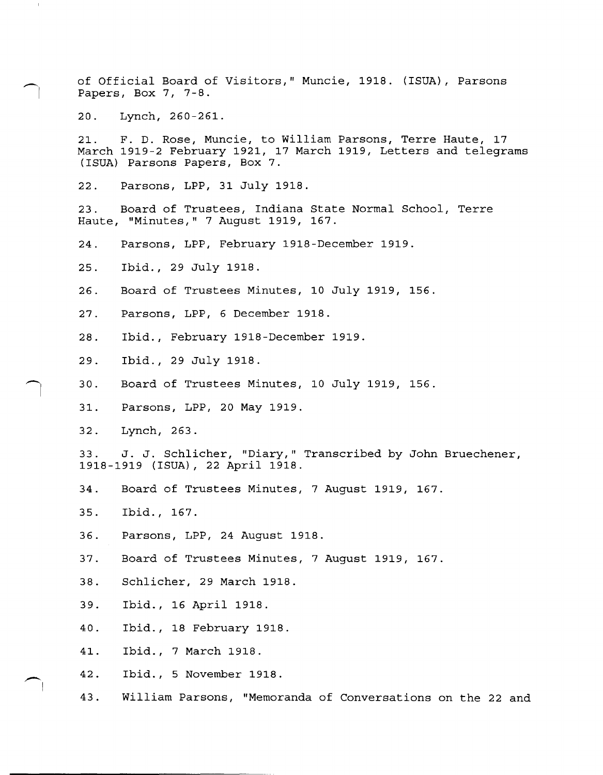of Official Board of Visitors," Muncie, 1918. (ISUA), Parsons Papers, Box 7, 7-8.

20. Lynch, 260-261.

-I

 $\bigcap$ 

21. F. D. Rose, Muncie, to William Parsons, Terre Haute, 17 March 1919-2 February 1921, 17 March 1919, Letters and telegrams (ISUA) Parsons Papers, Box 7.

22. Parsons, LPP, 31 July 1918.

23. Board of Trustees, Indiana State Normal School, Terre Haute, "Minutes," 7 August 1919, 167.

24. Parsons, LPP, February 1918-December 1919.

25. Ibid., 29 July 1918.

- 26. Board of Trustees Minutes, 10 July 1919, 156.
- 27. Parsons, LPP, 6 December 1918.
- 28. Ibid., February 1918-December 1919.
- 29. Ibid., 29 July 1918.
- 30. Board of Trustees Minutes, 10 July 1919, 156.
- 31. Parsons, LPP, 20 May 1919.
- 32. Lynch, 263.

33. J. J. Schlicher, "Diary," Transcribed by John Bruechener, 1918-1919 (ISUA), 22 April 1918.

- 34. Board of Trustees Minutes, 7 August 1919, 167.
- 35. Ibid., 167.
- 36. Parsons, LPP, 24 August 1918.
- 37. Board of Trustees Minutes, 7 August 1919, 167.
- 38. Schlicher, 29 March 1918.
- 39. Ibid., 16 April 1918.
- 40. Ibid., 18 February 1918.
- 41. Ibid., 7 March 1918.
- 42. Ibid., 5 November 1918.
- 43. William Parsons, "Memoranda of Conversations on the 22 and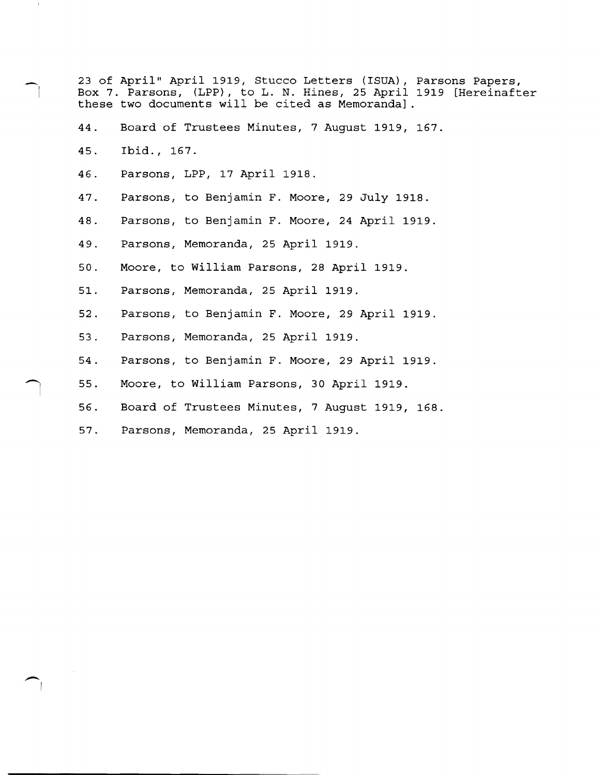23 of April" April 1919, Stucco Letters (ISUA), Parsons Papers, Box 7. Parsons, (LPP) , to L. N. Hines, 25 April 1919 [Hereinafter these two documents will be cited as Memoranda] .

- 44. Board of Trustees Minutes, 7 August 1919, 167.
- 45. Ibid., 167.

7

 $\frac{1}{2}$ 

- 46. Parsons, LPP, 17 April 1918.
- 47. Parsons, to Benjamin F. Moore, 29 July 1918.
- 48. Parsons, to Benjamin F. Moore, 24 April 1919.
- 49. Parsons, Memoranda, 25 April 1919.
- 50. Moore, to William Parsons, 28 April 1919.
- 51. Parsons, Memoranda, 25 April 1919.
- 52. Parsons, to Benjamin F. Moore, 29 April 1919.
- 53. Parsons, Memoranda, 25 April 1919.
- 54. Parsons, to Benjamin F. Moore, 29 April 1919.
- 55. Moore, to William Parsons, 30 April 1919.
- 56. Board of Trustees Minutes, 7 August 1919, 168.
- 57. Parsons, Memoranda, 25 April 1919.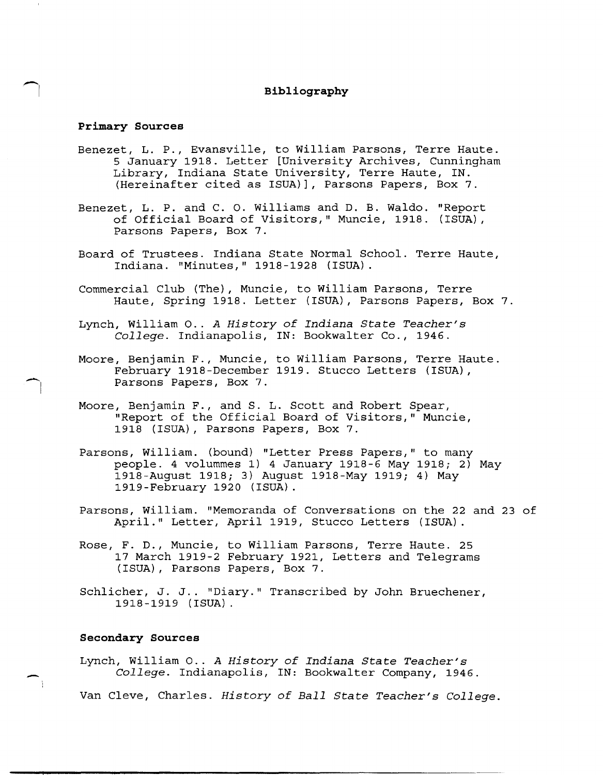## **Bibliography**

### **Primary Sources**

-I

-

- Benezet, L. P., Evansville, to William Parsons, Terre Haute. 5 January 1918. Letter [University Archives, Cunningham Library, Indiana State University, Terre Haute, IN. (Hereinafter cited as ISUA)], Parsons Papers, Box 7.
- Benezet, L. P. and C. o. Williams and D. B. Waldo. "Report of Official Board of Visitors," Muncie, 1918. (ISUA) , Parsons Papers, Box 7.
- Board of Trustees. Indiana State Normal School. Terre Haute, Indiana. "Minutes," 1918-1928 (ISUA).
- Commercial Club (The), Muncie, to William Parsons, Terre Haute, Spring 1918. Letter (ISUA), Parsons Papers, Box 7.
- Lynch, William 0 .. *A History of Indiana State Teacher's College.* Indianapolis, IN: Bookwalter Co., 1946.
- Moore, Benjamin F., Muncie, to William Parsons, Terre Haute. February 1918-December 1919. Stucco Letters (ISUA), Parsons Papers, Box 7.
- Moore, Benjamin F., and S. L. Scott and Robert Spear, "Report of the Official Board of Visitors," Muncie, 1918 (ISUA), Parsons Papers, Box 7.
- Parsons, William. (bound) "Letter Press Papers," to many people. 4 volummes 1) 4 January 1918-6 May 1918; 2) May 1918-August 1918; 3) August 1918-May 1919; 4) May 1919-February 1920 (ISUA).
- Parsons, William. "Memoranda of Conversations on the 22 and 23 of April." Letter, April 1919, Stucco Letters (ISUA).
- Rose, F. D., Muncie, to William Parsons, Terre Haute. 25 17 March 1919-2 February 1921, Letters and Telegrams (ISUA), Parsons Papers, Box 7.
- Schlicher, J. J.. "Diary." Transcribed by John Bruechener, 1918-1919 (ISUA).

### **Secondary Sources**

Lynch, William 0 .. *A History of Indiana State Teacher's College.* Indianapolis, IN: Bookwalter Company, 1946.

Van Cleve, Charles. *History of Ball State Teacher's College.*